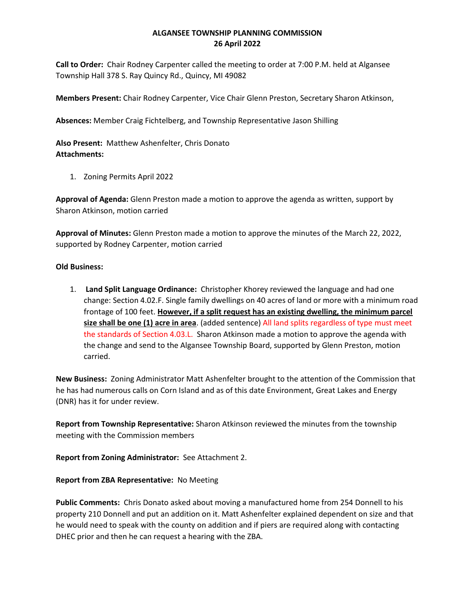## **ALGANSEE TOWNSHIP PLANNING COMMISSION 26 April 2022**

**Call to Order:** Chair Rodney Carpenter called the meeting to order at 7:00 P.M. held at Algansee Township Hall 378 S. Ray Quincy Rd., Quincy, MI 49082

**Members Present:** Chair Rodney Carpenter, Vice Chair Glenn Preston, Secretary Sharon Atkinson,

**Absences:** Member Craig Fichtelberg, and Township Representative Jason Shilling

**Also Present:** Matthew Ashenfelter, Chris Donato **Attachments:**

1. Zoning Permits April 2022

**Approval of Agenda:** Glenn Preston made a motion to approve the agenda as written, support by Sharon Atkinson, motion carried

**Approval of Minutes:** Glenn Preston made a motion to approve the minutes of the March 22, 2022, supported by Rodney Carpenter, motion carried

## **Old Business:**

1. **Land Split Language Ordinance:** Christopher Khorey reviewed the language and had one change: Section 4.02.F. Single family dwellings on 40 acres of land or more with a minimum road frontage of 100 feet. **However, if a split request has an existing dwelling, the minimum parcel size shall be one (1) acre in area**. (added sentence) All land splits regardless of type must meet the standards of Section 4.03.L. Sharon Atkinson made a motion to approve the agenda with the change and send to the Algansee Township Board, supported by Glenn Preston, motion carried.

**New Business:** Zoning Administrator Matt Ashenfelter brought to the attention of the Commission that he has had numerous calls on Corn Island and as of this date Environment, Great Lakes and Energy (DNR) has it for under review.

**Report from Township Representative:** Sharon Atkinson reviewed the minutes from the township meeting with the Commission members

**Report from Zoning Administrator:** See Attachment 2.

## **Report from ZBA Representative:** No Meeting

**Public Comments:** Chris Donato asked about moving a manufactured home from 254 Donnell to his property 210 Donnell and put an addition on it. Matt Ashenfelter explained dependent on size and that he would need to speak with the county on addition and if piers are required along with contacting DHEC prior and then he can request a hearing with the ZBA.